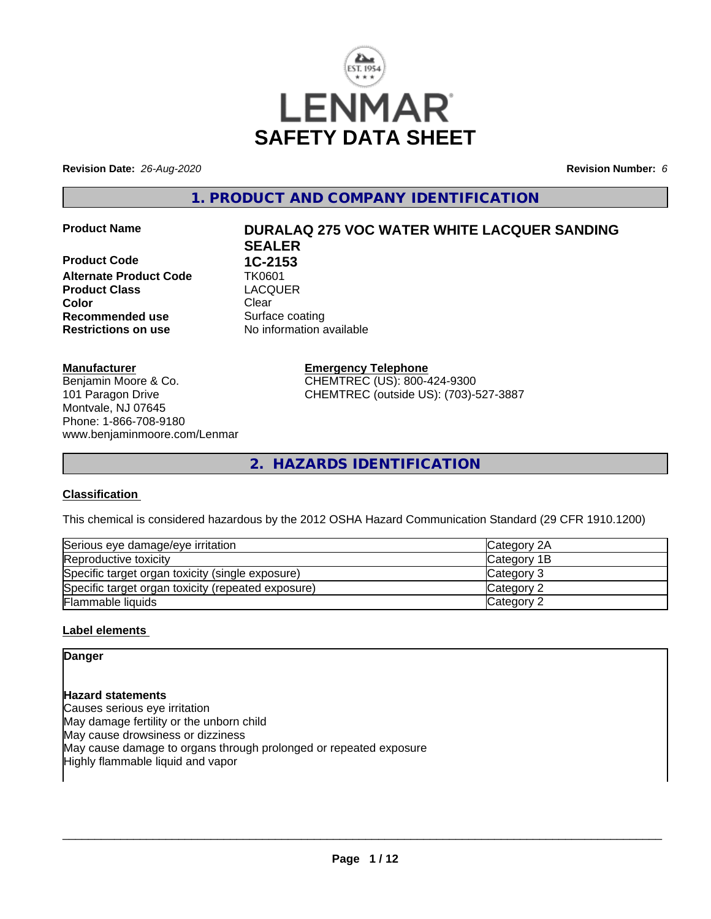

**Revision Date:** *26-Aug-2020* **Revision Number:** *6*

**1. PRODUCT AND COMPANY IDENTIFICATION**

**Product Code 1C-2153**<br>**Alternate Product Code 1K0601 Alternate Product Code TK0601<br>Product Class Code CACQUER Product Class Color** Clear Clear **Recommended use** Surface coating **Restrictions on use** No information available

# **Product Name DURALAQ 275 VOC WATER WHITE LACQUER SANDING SEALER**

Benjamin Moore & Co.

**Emergency Telephone** CHEMTREC (US): 800-424-9300 CHEMTREC (outside US): (703)-527-3887

**2. HAZARDS IDENTIFICATION**

#### **Classification**

**Manufacturer**

101 Paragon Drive Montvale, NJ 07645 Phone: 1-866-708-9180

www.benjaminmoore.com/Lenmar

This chemical is considered hazardous by the 2012 OSHA Hazard Communication Standard (29 CFR 1910.1200)

| Serious eye damage/eye irritation                  | Category 2A        |
|----------------------------------------------------|--------------------|
| Reproductive toxicity                              | <b>Category 1B</b> |
| Specific target organ toxicity (single exposure)   | Category 3         |
| Specific target organ toxicity (repeated exposure) | Category 2         |
| <b>Flammable liquids</b>                           | Category 2         |

#### **Label elements**

#### **Danger**

**Hazard statements** Causes serious eye irritation May damage fertility or the unborn child May cause drowsiness or dizziness May cause damage to organs through prolonged or repeated exposure Highly flammable liquid and vapor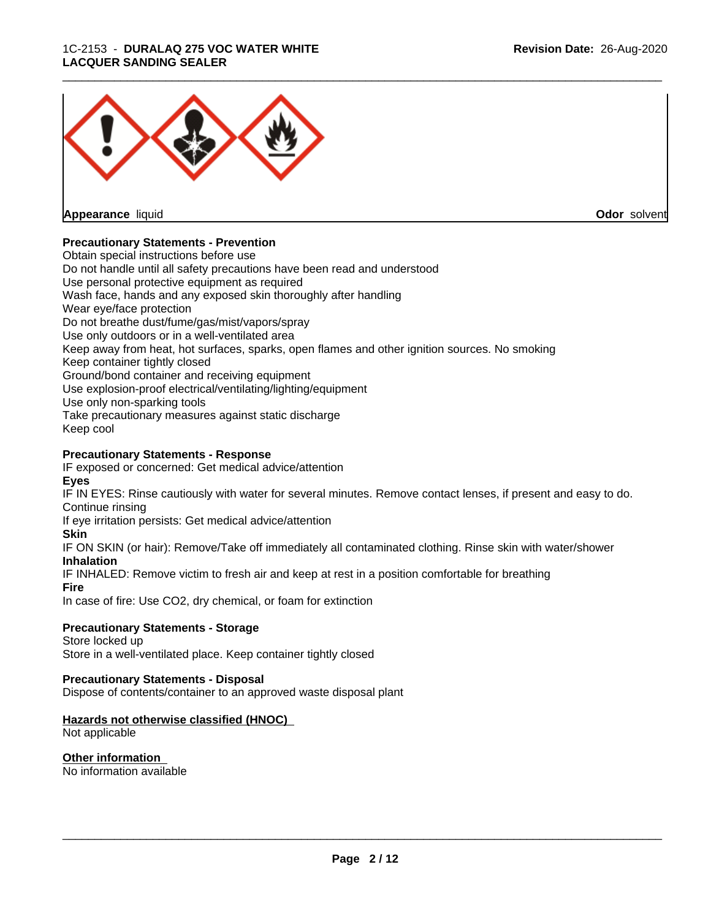#### 1C-2153 - **DURALAQ 275 VOC WATER WHITE LACQUER SANDING SEALER**



**Appearance** liquid

**Odor** solvent

#### **Precautionary Statements - Prevention**

Obtain special instructions before use Do not handle until all safety precautions have been read and understood Use personal protective equipment as required Wash face, hands and any exposed skin thoroughly after handling Wear eye/face protection Do not breathe dust/fume/gas/mist/vapors/spray Use only outdoors or in a well-ventilated area Keep away from heat, hot surfaces, sparks, open flames and other ignition sources. No smoking Keep container tightly closed Ground/bond container and receiving equipment Use explosion-proof electrical/ventilating/lighting/equipment Use only non-sparking tools Take precautionary measures against static discharge Keep cool

#### **Precautionary Statements - Response**

IF exposed or concerned: Get medical advice/attention **Eyes**

IF IN EYES: Rinse cautiously with water for several minutes. Remove contact lenses, if present and easy to do. Continue rinsing

If eye irritation persists: Get medical advice/attention

#### **Skin**

IF ON SKIN (or hair): Remove/Take off immediately all contaminated clothing. Rinse skin with water/shower **Inhalation**

IF INHALED: Remove victim to fresh air and keep at rest in a position comfortable for breathing

#### **Fire**

In case of fire: Use CO2, dry chemical, or foam for extinction

#### **Precautionary Statements - Storage**

Store locked up Store in a well-ventilated place. Keep container tightly closed

#### **Precautionary Statements - Disposal**

Dispose of contents/container to an approved waste disposal plant

#### **Hazards not otherwise classified (HNOC)**

Not applicable

## **Other information**

No information available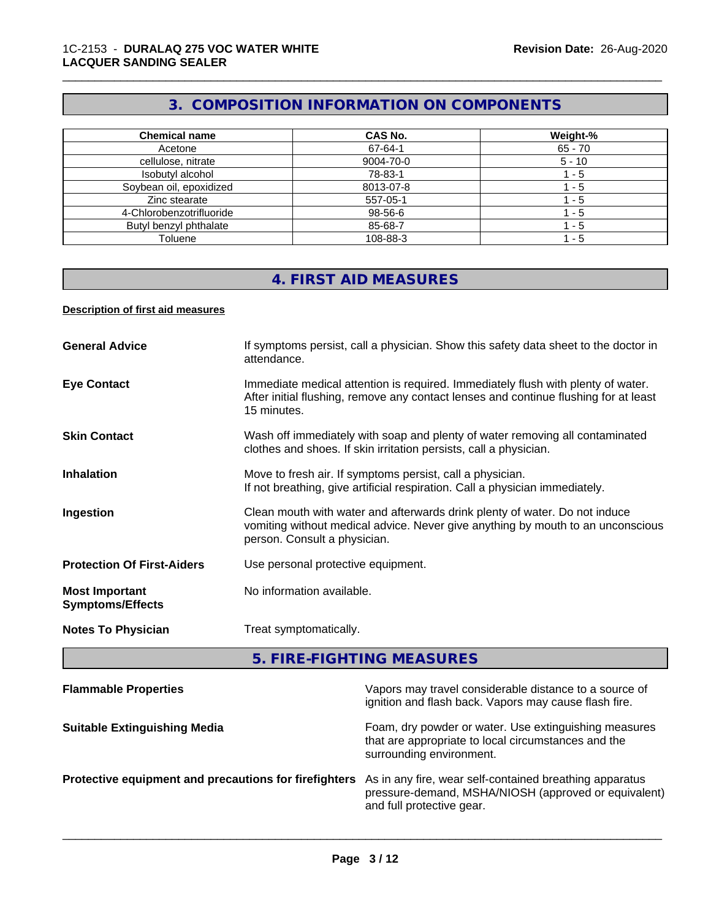# **3. COMPOSITION INFORMATION ON COMPONENTS**

\_\_\_\_\_\_\_\_\_\_\_\_\_\_\_\_\_\_\_\_\_\_\_\_\_\_\_\_\_\_\_\_\_\_\_\_\_\_\_\_\_\_\_\_\_\_\_\_\_\_\_\_\_\_\_\_\_\_\_\_\_\_\_\_\_\_\_\_\_\_\_\_\_\_\_\_\_\_\_\_\_\_\_\_\_\_\_\_\_\_\_\_\_

| <b>Chemical name</b>     | <b>CAS No.</b> | Weight-%  |
|--------------------------|----------------|-----------|
| Acetone                  | 67-64-1        | $65 - 70$ |
| cellulose, nitrate       | 9004-70-0      | $5 - 10$  |
| Isobutyl alcohol         | 78-83-1        | - 5       |
| Soybean oil, epoxidized  | 8013-07-8      | - 5       |
| Zinc stearate            | 557-05-1       | - 5       |
| 4-Chlorobenzotrifluoride | 98-56-6        | - 5       |
| Butyl benzyl phthalate   | 85-68-7        | - 5       |
| Toluene                  | 108-88-3       | - 5       |

# **4. FIRST AID MEASURES**

#### **Description of first aid measures**

| <b>General Advice</b>                            | If symptoms persist, call a physician. Show this safety data sheet to the doctor in<br>attendance.                                                                                            |
|--------------------------------------------------|-----------------------------------------------------------------------------------------------------------------------------------------------------------------------------------------------|
| <b>Eye Contact</b>                               | Immediate medical attention is required. Immediately flush with plenty of water.<br>After initial flushing, remove any contact lenses and continue flushing for at least<br>15 minutes.       |
| <b>Skin Contact</b>                              | Wash off immediately with soap and plenty of water removing all contaminated<br>clothes and shoes. If skin irritation persists, call a physician.                                             |
| <b>Inhalation</b>                                | Move to fresh air. If symptoms persist, call a physician.<br>If not breathing, give artificial respiration. Call a physician immediately.                                                     |
| Ingestion                                        | Clean mouth with water and afterwards drink plenty of water. Do not induce<br>vomiting without medical advice. Never give anything by mouth to an unconscious<br>person. Consult a physician. |
| <b>Protection Of First-Aiders</b>                | Use personal protective equipment.                                                                                                                                                            |
| <b>Most Important</b><br><b>Symptoms/Effects</b> | No information available.                                                                                                                                                                     |
| <b>Notes To Physician</b>                        | Treat symptomatically.                                                                                                                                                                        |
|                                                  |                                                                                                                                                                                               |

**5. FIRE-FIGHTING MEASURES**

| <b>Flammable Properties</b>                           | Vapors may travel considerable distance to a source of<br>ignition and flash back. Vapors may cause flash fire.                              |
|-------------------------------------------------------|----------------------------------------------------------------------------------------------------------------------------------------------|
| <b>Suitable Extinguishing Media</b>                   | Foam, dry powder or water. Use extinguishing measures<br>that are appropriate to local circumstances and the<br>surrounding environment.     |
| Protective equipment and precautions for firefighters | As in any fire, wear self-contained breathing apparatus<br>pressure-demand, MSHA/NIOSH (approved or equivalent)<br>and full protective gear. |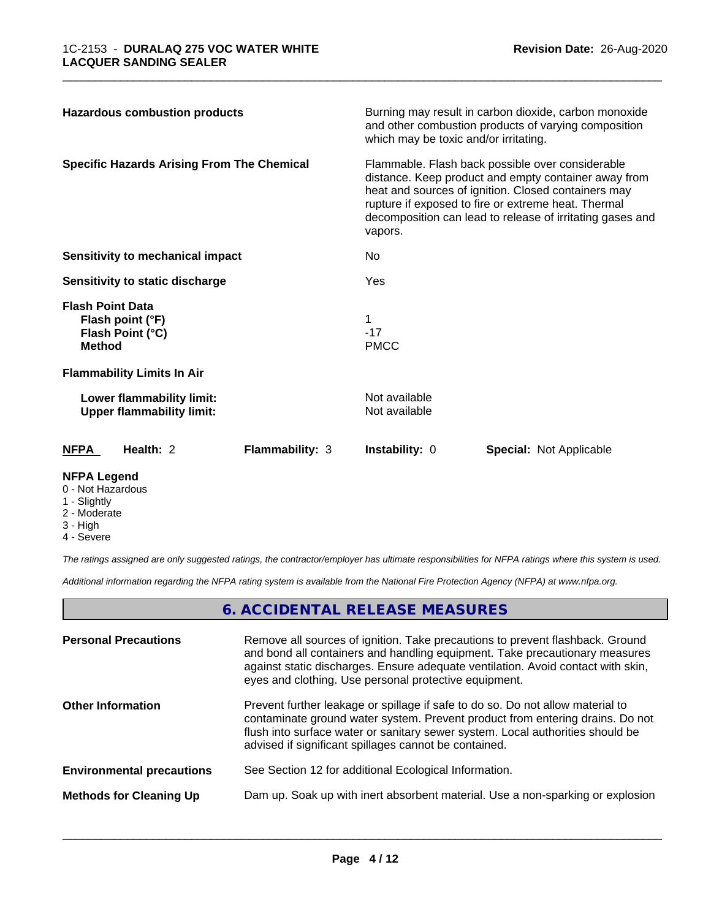| <b>Hazardous combustion products</b>                                             |                        | Burning may result in carbon dioxide, carbon monoxide<br>and other combustion products of varying composition<br>which may be toxic and/or irritating.                                                                                                                                         |                                |  |
|----------------------------------------------------------------------------------|------------------------|------------------------------------------------------------------------------------------------------------------------------------------------------------------------------------------------------------------------------------------------------------------------------------------------|--------------------------------|--|
| <b>Specific Hazards Arising From The Chemical</b>                                |                        | Flammable. Flash back possible over considerable<br>distance. Keep product and empty container away from<br>heat and sources of ignition. Closed containers may<br>rupture if exposed to fire or extreme heat. Thermal<br>decomposition can lead to release of irritating gases and<br>vapors. |                                |  |
| Sensitivity to mechanical impact                                                 |                        | No.                                                                                                                                                                                                                                                                                            |                                |  |
| Sensitivity to static discharge                                                  |                        | Yes                                                                                                                                                                                                                                                                                            |                                |  |
| <b>Flash Point Data</b><br>Flash point (°F)<br>Flash Point (°C)<br><b>Method</b> |                        | $-17$<br><b>PMCC</b>                                                                                                                                                                                                                                                                           |                                |  |
| <b>Flammability Limits In Air</b>                                                |                        |                                                                                                                                                                                                                                                                                                |                                |  |
| Lower flammability limit:<br><b>Upper flammability limit:</b>                    |                        | Not available<br>Not available                                                                                                                                                                                                                                                                 |                                |  |
| Health: 2<br><b>NFPA</b>                                                         | <b>Flammability: 3</b> | <b>Instability: 0</b>                                                                                                                                                                                                                                                                          | <b>Special: Not Applicable</b> |  |
| <b>NFPA Legend</b>                                                               |                        |                                                                                                                                                                                                                                                                                                |                                |  |

- 0 Not Hazardous
- 1 Slightly
- 2 Moderate
- 3 High
- 4 Severe

*The ratings assigned are only suggested ratings, the contractor/employer has ultimate responsibilities for NFPA ratings where this system is used.*

*Additional information regarding the NFPA rating system is available from the National Fire Protection Agency (NFPA) at www.nfpa.org.*

# **6. ACCIDENTAL RELEASE MEASURES**

| <b>Personal Precautions</b>      | Remove all sources of ignition. Take precautions to prevent flashback. Ground<br>and bond all containers and handling equipment. Take precautionary measures<br>against static discharges. Ensure adequate ventilation. Avoid contact with skin,<br>eyes and clothing. Use personal protective equipment.  |
|----------------------------------|------------------------------------------------------------------------------------------------------------------------------------------------------------------------------------------------------------------------------------------------------------------------------------------------------------|
| <b>Other Information</b>         | Prevent further leakage or spillage if safe to do so. Do not allow material to<br>contaminate ground water system. Prevent product from entering drains. Do not<br>flush into surface water or sanitary sewer system. Local authorities should be<br>advised if significant spillages cannot be contained. |
| <b>Environmental precautions</b> | See Section 12 for additional Ecological Information.                                                                                                                                                                                                                                                      |
| <b>Methods for Cleaning Up</b>   | Dam up. Soak up with inert absorbent material. Use a non-sparking or explosion                                                                                                                                                                                                                             |
|                                  |                                                                                                                                                                                                                                                                                                            |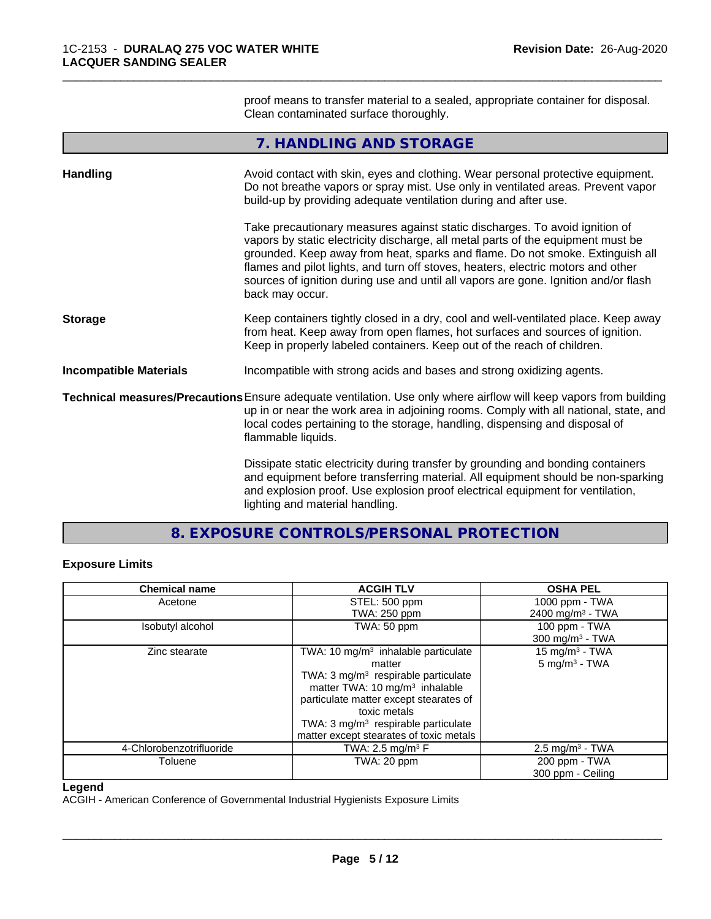proof means to transfer material to a sealed, appropriate container for disposal. Clean contaminated surface thoroughly.

\_\_\_\_\_\_\_\_\_\_\_\_\_\_\_\_\_\_\_\_\_\_\_\_\_\_\_\_\_\_\_\_\_\_\_\_\_\_\_\_\_\_\_\_\_\_\_\_\_\_\_\_\_\_\_\_\_\_\_\_\_\_\_\_\_\_\_\_\_\_\_\_\_\_\_\_\_\_\_\_\_\_\_\_\_\_\_\_\_\_\_\_\_

|                               | 7. HANDLING AND STORAGE                                                                                                                                                                                                                                                                                                                                                                                                                        |
|-------------------------------|------------------------------------------------------------------------------------------------------------------------------------------------------------------------------------------------------------------------------------------------------------------------------------------------------------------------------------------------------------------------------------------------------------------------------------------------|
| <b>Handling</b>               | Avoid contact with skin, eyes and clothing. Wear personal protective equipment.<br>Do not breathe vapors or spray mist. Use only in ventilated areas. Prevent vapor<br>build-up by providing adequate ventilation during and after use.                                                                                                                                                                                                        |
|                               | Take precautionary measures against static discharges. To avoid ignition of<br>vapors by static electricity discharge, all metal parts of the equipment must be<br>grounded. Keep away from heat, sparks and flame. Do not smoke. Extinguish all<br>flames and pilot lights, and turn off stoves, heaters, electric motors and other<br>sources of ignition during use and until all vapors are gone. Ignition and/or flash<br>back may occur. |
| <b>Storage</b>                | Keep containers tightly closed in a dry, cool and well-ventilated place. Keep away<br>from heat. Keep away from open flames, hot surfaces and sources of ignition.<br>Keep in properly labeled containers. Keep out of the reach of children.                                                                                                                                                                                                  |
| <b>Incompatible Materials</b> | Incompatible with strong acids and bases and strong oxidizing agents.                                                                                                                                                                                                                                                                                                                                                                          |
|                               | Technical measures/Precautions Ensure adequate ventilation. Use only where airflow will keep vapors from building<br>up in or near the work area in adjoining rooms. Comply with all national, state, and<br>local codes pertaining to the storage, handling, dispensing and disposal of<br>flammable liquids.                                                                                                                                 |
|                               | Dissipate static electricity during transfer by grounding and bonding containers<br>and equipment before transferring material. All equipment should be non-sparking<br>and explosion proof. Use explosion proof electrical equipment for ventilation,<br>lighting and material handling.                                                                                                                                                      |

**8. EXPOSURE CONTROLS/PERSONAL PROTECTION**

# **Exposure Limits**

| <b>Chemical name</b>     | <b>ACGIH TLV</b>                                | <b>OSHA PEL</b>              |
|--------------------------|-------------------------------------------------|------------------------------|
| Acetone                  | STEL: 500 ppm                                   | 1000 ppm - TWA               |
|                          | <b>TWA: 250 ppm</b>                             | 2400 mg/m <sup>3</sup> - TWA |
| Isobutyl alcohol         | TWA: 50 ppm                                     | 100 ppm - TWA                |
|                          |                                                 | $300 \text{ mg/m}^3$ - TWA   |
| Zinc stearate            | TWA: 10 mg/m <sup>3</sup> inhalable particulate | 15 mg/m <sup>3</sup> - TWA   |
|                          | matter                                          | $5$ mg/m <sup>3</sup> - TWA  |
|                          | TWA: 3 mg/m <sup>3</sup> respirable particulate |                              |
|                          | matter TWA: $10 \text{ mg/m}^3$ inhalable       |                              |
|                          | particulate matter except stearates of          |                              |
|                          | toxic metals                                    |                              |
|                          | TWA: 3 mg/m <sup>3</sup> respirable particulate |                              |
|                          | matter except stearates of toxic metals         |                              |
| 4-Chlorobenzotrifluoride | TWA: 2.5 mg/m <sup>3</sup> $\mathsf{F}$         | $2.5 \text{ mg/m}^3$ - TWA   |
| Toluene                  | TWA: 20 ppm                                     | 200 ppm - TWA                |
|                          |                                                 | 300 ppm - Ceiling            |

#### **Legend**

ACGIH - American Conference of Governmental Industrial Hygienists Exposure Limits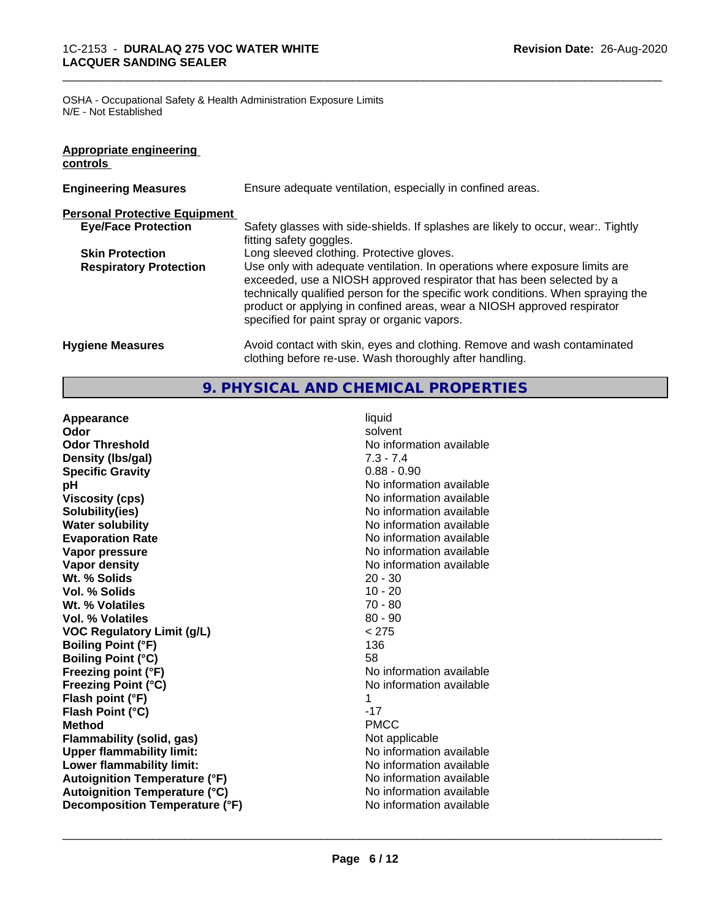OSHA - Occupational Safety & Health Administration Exposure Limits N/E - Not Established

| Appropriate engineering<br>controls  |                                                                                                                                                                                                                                                                                                                                                                     |
|--------------------------------------|---------------------------------------------------------------------------------------------------------------------------------------------------------------------------------------------------------------------------------------------------------------------------------------------------------------------------------------------------------------------|
| <b>Engineering Measures</b>          | Ensure adequate ventilation, especially in confined areas.                                                                                                                                                                                                                                                                                                          |
| <b>Personal Protective Equipment</b> |                                                                                                                                                                                                                                                                                                                                                                     |
| <b>Eye/Face Protection</b>           | Safety glasses with side-shields. If splashes are likely to occur, wear:. Tightly<br>fitting safety goggles.                                                                                                                                                                                                                                                        |
| <b>Skin Protection</b>               | Long sleeved clothing. Protective gloves.                                                                                                                                                                                                                                                                                                                           |
| <b>Respiratory Protection</b>        | Use only with adequate ventilation. In operations where exposure limits are<br>exceeded, use a NIOSH approved respirator that has been selected by a<br>technically qualified person for the specific work conditions. When spraying the<br>product or applying in confined areas, wear a NIOSH approved respirator<br>specified for paint spray or organic vapors. |
| <b>Hygiene Measures</b>              | Avoid contact with skin, eyes and clothing. Remove and wash contaminated<br>clothing before re-use. Wash thoroughly after handling.                                                                                                                                                                                                                                 |

\_\_\_\_\_\_\_\_\_\_\_\_\_\_\_\_\_\_\_\_\_\_\_\_\_\_\_\_\_\_\_\_\_\_\_\_\_\_\_\_\_\_\_\_\_\_\_\_\_\_\_\_\_\_\_\_\_\_\_\_\_\_\_\_\_\_\_\_\_\_\_\_\_\_\_\_\_\_\_\_\_\_\_\_\_\_\_\_\_\_\_\_\_

## **9. PHYSICAL AND CHEMICAL PROPERTIES**

**Appearance** liquid **Odor** solvent **Odor Threshold No information available** No information available **Density (lbs/gal)** 7.3 - 7.4 **Specific Gravity** 0.88 - 0.90 **pH** No information available **Viscosity (cps)** No information available **Solubility(ies)**<br> **Solubility**<br> **Water solubility**<br> **Water solubility Evaporation Rate Evaporation Rate No information available Vapor pressure** No information available **No information available Vapor density No information available No** information available **Wt. % Solids** 20 - 30 **Vol. % Solids** 10 - 20 **Wt. % Volatiles** 70 - 80 **Vol. % Volatiles** 80 - 90 **VOC Regulatory Limit (g/L)** < 275 **Boiling Point (°F)** 136 **Boiling Point (°C)** 58 **Freezing point (°F)** No information available **Freezing Point (°C)** No information available **Flash point (°F)** 1 **Flash Point (°C)** -17 **Method** PMCC **Flammability (solid, gas)** Not applicable **Upper flammability limit:**<br> **Lower flammability limit:** No information available<br>
No information available **Lower flammability limit: Autoignition Temperature (°F)**<br> **Autoignition Temperature (°C)** 
<br> **Autoignition Temperature (°C)** 
<br> **Autoignition Temperature (°C) Autoignition Temperature (°C) Decomposition Temperature (°F)** No information available

**No information available**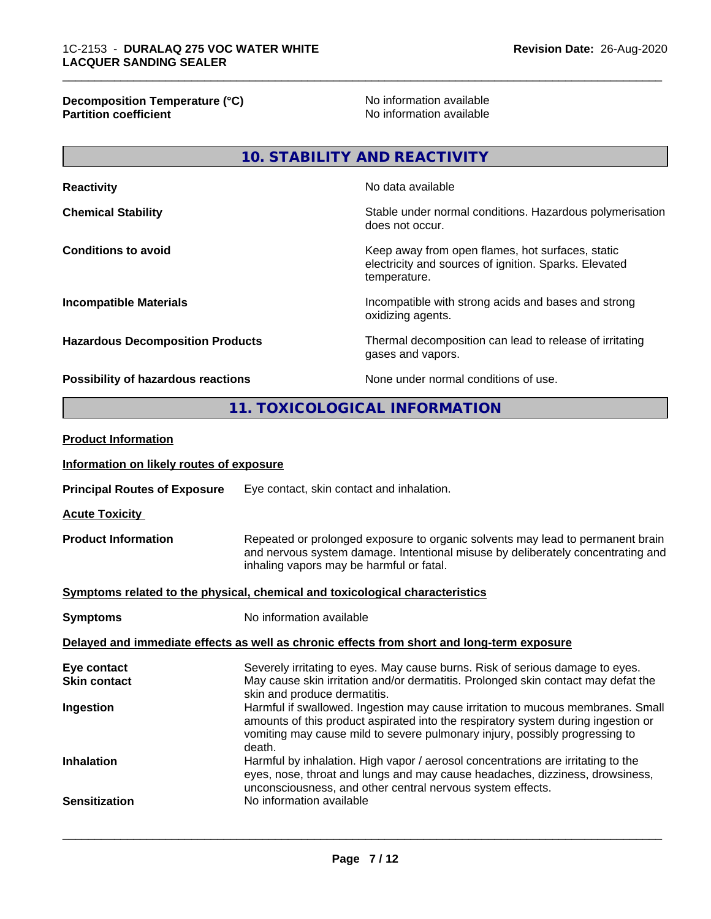**Decomposition Temperature (°C)** No information available **Partition coefficient** and the settlement of the settlement of the No information available and the settlement of the settlement of the settlement of the settlement of the settlement of the settlement of the settlement of

\_\_\_\_\_\_\_\_\_\_\_\_\_\_\_\_\_\_\_\_\_\_\_\_\_\_\_\_\_\_\_\_\_\_\_\_\_\_\_\_\_\_\_\_\_\_\_\_\_\_\_\_\_\_\_\_\_\_\_\_\_\_\_\_\_\_\_\_\_\_\_\_\_\_\_\_\_\_\_\_\_\_\_\_\_\_\_\_\_\_\_\_\_

**10. STABILITY AND REACTIVITY**

| <b>Reactivity</b>                         | No data available                                                                                                         |
|-------------------------------------------|---------------------------------------------------------------------------------------------------------------------------|
| <b>Chemical Stability</b>                 | Stable under normal conditions. Hazardous polymerisation<br>does not occur.                                               |
| <b>Conditions to avoid</b>                | Keep away from open flames, hot surfaces, static<br>electricity and sources of ignition. Sparks. Elevated<br>temperature. |
| <b>Incompatible Materials</b>             | Incompatible with strong acids and bases and strong<br>oxidizing agents.                                                  |
| <b>Hazardous Decomposition Products</b>   | Thermal decomposition can lead to release of irritating<br>gases and vapors.                                              |
| <b>Possibility of hazardous reactions</b> | None under normal conditions of use.                                                                                      |

**11. TOXICOLOGICAL INFORMATION**

| <b>Product Information</b>                                                                 |                                                                                                                                                                                                                                                               |  |
|--------------------------------------------------------------------------------------------|---------------------------------------------------------------------------------------------------------------------------------------------------------------------------------------------------------------------------------------------------------------|--|
| Information on likely routes of exposure                                                   |                                                                                                                                                                                                                                                               |  |
| <b>Principal Routes of Exposure</b>                                                        | Eye contact, skin contact and inhalation.                                                                                                                                                                                                                     |  |
| <b>Acute Toxicity</b>                                                                      |                                                                                                                                                                                                                                                               |  |
| <b>Product Information</b>                                                                 | Repeated or prolonged exposure to organic solvents may lead to permanent brain<br>and nervous system damage. Intentional misuse by deliberately concentrating and<br>inhaling vapors may be harmful or fatal.                                                 |  |
| Symptoms related to the physical, chemical and toxicological characteristics               |                                                                                                                                                                                                                                                               |  |
| <b>Symptoms</b>                                                                            | No information available                                                                                                                                                                                                                                      |  |
| Delayed and immediate effects as well as chronic effects from short and long-term exposure |                                                                                                                                                                                                                                                               |  |
| Eye contact<br><b>Skin contact</b>                                                         | Severely irritating to eyes. May cause burns. Risk of serious damage to eyes.<br>May cause skin irritation and/or dermatitis. Prolonged skin contact may defat the<br>skin and produce dermatitis.                                                            |  |
| Ingestion                                                                                  | Harmful if swallowed. Ingestion may cause irritation to mucous membranes. Small<br>amounts of this product aspirated into the respiratory system during ingestion or<br>vomiting may cause mild to severe pulmonary injury, possibly progressing to<br>death. |  |
| <b>Inhalation</b>                                                                          | Harmful by inhalation. High vapor / aerosol concentrations are irritating to the<br>eyes, nose, throat and lungs and may cause headaches, dizziness, drowsiness,<br>unconsciousness, and other central nervous system effects.                                |  |
| <b>Sensitization</b>                                                                       | No information available                                                                                                                                                                                                                                      |  |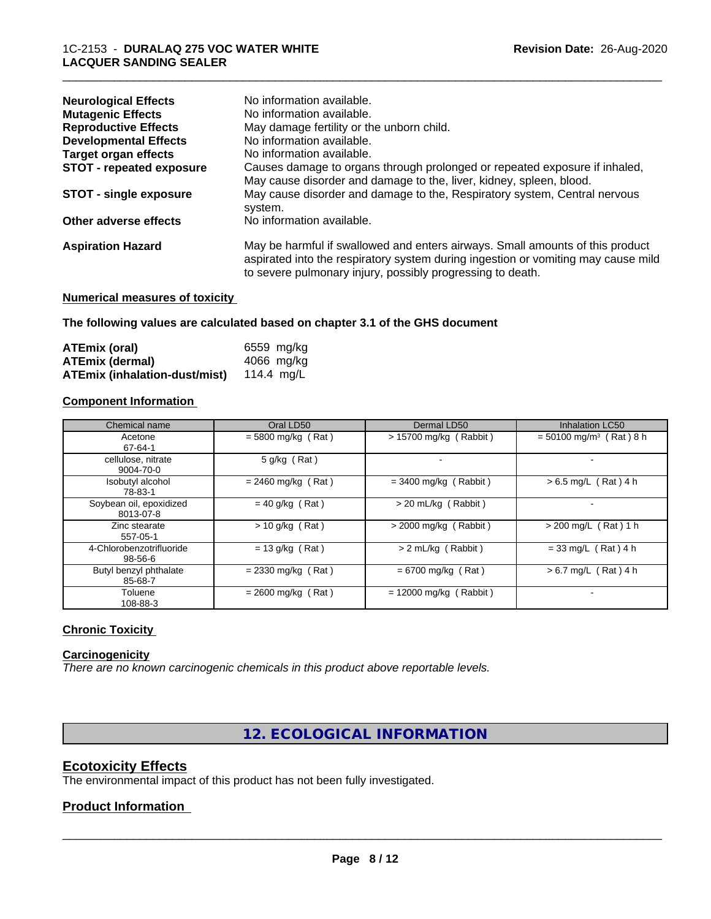| <b>Neurological Effects</b>     | No information available.                                                                                                                                                                                                        |
|---------------------------------|----------------------------------------------------------------------------------------------------------------------------------------------------------------------------------------------------------------------------------|
| <b>Mutagenic Effects</b>        | No information available.                                                                                                                                                                                                        |
| <b>Reproductive Effects</b>     | May damage fertility or the unborn child.                                                                                                                                                                                        |
| <b>Developmental Effects</b>    | No information available.                                                                                                                                                                                                        |
| <b>Target organ effects</b>     | No information available.                                                                                                                                                                                                        |
| <b>STOT - repeated exposure</b> | Causes damage to organs through prolonged or repeated exposure if inhaled,<br>May cause disorder and damage to the, liver, kidney, spleen, blood.                                                                                |
| <b>STOT - single exposure</b>   | May cause disorder and damage to the, Respiratory system, Central nervous<br>system.                                                                                                                                             |
| Other adverse effects           | No information available.                                                                                                                                                                                                        |
| <b>Aspiration Hazard</b>        | May be harmful if swallowed and enters airways. Small amounts of this product<br>aspirated into the respiratory system during ingestion or vomiting may cause mild<br>to severe pulmonary injury, possibly progressing to death. |
|                                 |                                                                                                                                                                                                                                  |

#### **Numerical measures of toxicity**

**The following values are calculated based on chapter 3.1 of the GHS document**

| ATEmix (oral)                        | 6559 mg/ka |
|--------------------------------------|------------|
| <b>ATEmix (dermal)</b>               | 4066 mg/ka |
| <b>ATEmix (inhalation-dust/mist)</b> | 114.4 ma/L |

#### **Component Information**

| Chemical name                        | Oral LD50            | Dermal LD50              | <b>Inhalation LC50</b>                |
|--------------------------------------|----------------------|--------------------------|---------------------------------------|
| Acetone<br>67-64-1                   | $= 5800$ mg/kg (Rat) | > 15700 mg/kg (Rabbit)   | $=$ 50100 mg/m <sup>3</sup> (Rat) 8 h |
| cellulose, nitrate<br>9004-70-0      | 5 g/kg (Rat)         |                          |                                       |
| Isobutyl alcohol<br>78-83-1          | $= 2460$ mg/kg (Rat) | $=$ 3400 mg/kg (Rabbit)  | $> 6.5$ mg/L (Rat) 4 h                |
| Soybean oil, epoxidized<br>8013-07-8 | $= 40$ g/kg (Rat)    | > 20 mL/kg (Rabbit)      |                                       |
| Zinc stearate<br>557-05-1            | $> 10$ g/kg (Rat)    | $>$ 2000 mg/kg (Rabbit)  | $> 200$ mg/L (Rat) 1 h                |
| 4-Chlorobenzotrifluoride<br>98-56-6  | $= 13$ g/kg (Rat)    | > 2 mL/kg (Rabbit)       | $= 33$ mg/L (Rat) 4 h                 |
| Butyl benzyl phthalate<br>85-68-7    | $= 2330$ mg/kg (Rat) | $= 6700$ mg/kg (Rat)     | $> 6.7$ mg/L (Rat) 4 h                |
| Toluene<br>108-88-3                  | $= 2600$ mg/kg (Rat) | $= 12000$ mg/kg (Rabbit) |                                       |

#### **Chronic Toxicity**

#### **Carcinogenicity**

*There are no known carcinogenic chemicals in this product above reportable levels.*

**12. ECOLOGICAL INFORMATION**

## **Ecotoxicity Effects**

The environmental impact of this product has not been fully investigated.

#### **Product Information**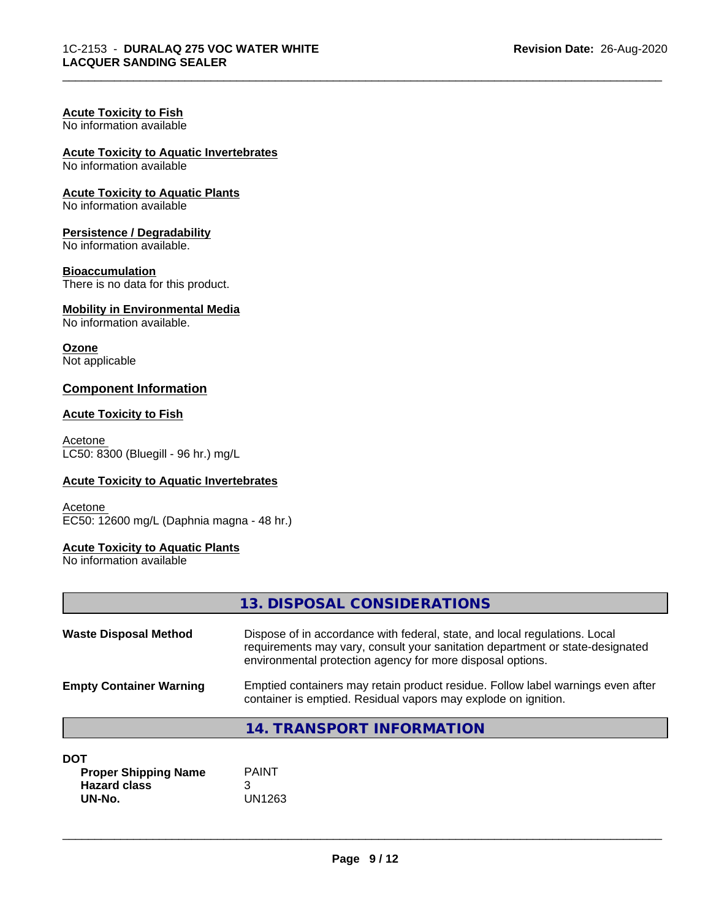# **Acute Toxicity to Fish**

No information available

# **Acute Toxicity to Aquatic Invertebrates**

No information available

#### **Acute Toxicity to Aquatic Plants**

No information available

#### **Persistence / Degradability**

No information available.

#### **Bioaccumulation**

There is no data for this product.

# **Mobility in Environmental Media**

No information available.

# **Ozone**

Not applicable

#### **Component Information**

#### **Acute Toxicity to Fish**

Acetone LC50: 8300 (Bluegill - 96 hr.) mg/L

#### **Acute Toxicity to Aquatic Invertebrates**

**Acetone** EC50: 12600 mg/L (Daphnia magna - 48 hr.)

#### **Acute Toxicity to Aquatic Plants**

No information available

|                                | 13. DISPOSAL CONSIDERATIONS                                                                                                                                                                                               |
|--------------------------------|---------------------------------------------------------------------------------------------------------------------------------------------------------------------------------------------------------------------------|
| <b>Waste Disposal Method</b>   | Dispose of in accordance with federal, state, and local regulations. Local<br>requirements may vary, consult your sanitation department or state-designated<br>environmental protection agency for more disposal options. |
| <b>Empty Container Warning</b> | Emptied containers may retain product residue. Follow label warnings even after<br>container is emptied. Residual vapors may explode on ignition.                                                                         |
|                                | <b>14. TRANSPORT INFORMATION</b>                                                                                                                                                                                          |
| <b>DOT</b>                     |                                                                                                                                                                                                                           |

| וש                          |        |  |
|-----------------------------|--------|--|
| <b>Proper Shipping Name</b> | PAINT  |  |
| <b>Hazard class</b>         |        |  |
| UN-No.                      | UN1263 |  |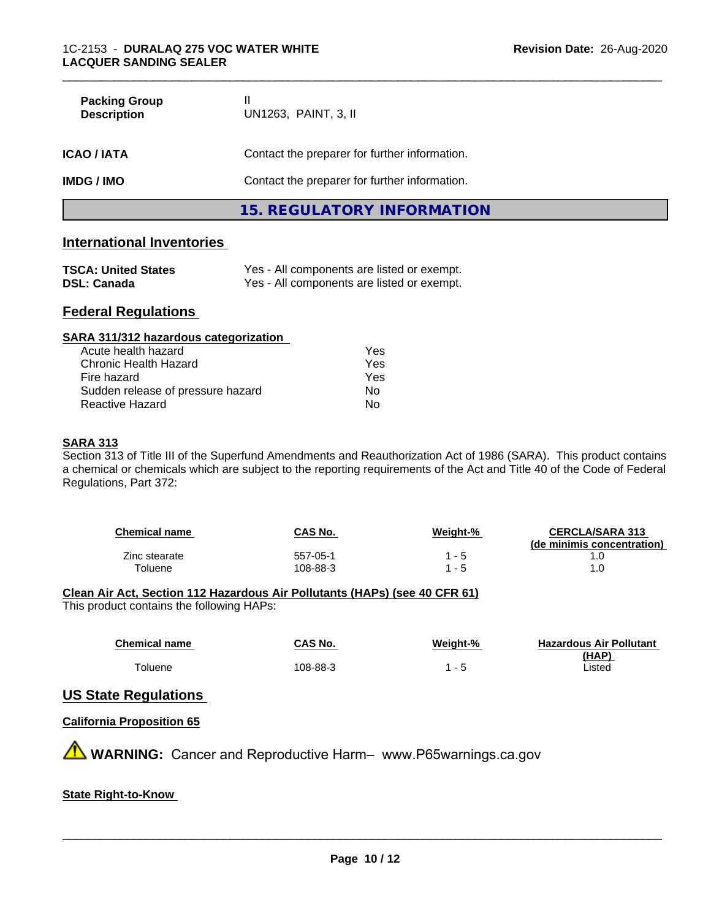| <b>Packing Group</b><br><b>Description</b> | UN1263, PAINT, 3, II                          |  |
|--------------------------------------------|-----------------------------------------------|--|
| <b>ICAO / IATA</b>                         | Contact the preparer for further information. |  |
| <b>IMDG / IMO</b>                          | Contact the preparer for further information. |  |
|                                            | 15. REGULATORY INFORMATION                    |  |

# **International Inventories**

| <b>TSCA: United States</b> | Yes - All components are listed or exempt. |
|----------------------------|--------------------------------------------|
| <b>DSL: Canada</b>         | Yes - All components are listed or exempt. |

# **Federal Regulations**

| SARA 311/312 hazardous categorization |     |  |
|---------------------------------------|-----|--|
| Acute health hazard                   | Yes |  |
| Chronic Health Hazard                 | Yes |  |
| Fire hazard                           | Yes |  |
| Sudden release of pressure hazard     | No  |  |
| Reactive Hazard                       | No  |  |

#### **SARA 313**

Section 313 of Title III of the Superfund Amendments and Reauthorization Act of 1986 (SARA). This product contains a chemical or chemicals which are subject to the reporting requirements of the Act and Title 40 of the Code of Federal Regulations, Part 372:

| <b>Chemical name</b> | CAS No.  | <u>Weight-%</u> | <b>CERCLA/SARA 313</b><br>(de minimis concentration) |
|----------------------|----------|-----------------|------------------------------------------------------|
| Zinc stearate        | 557-05-1 | - 5             |                                                      |
| Toluene              | 108-88-3 | - 5             |                                                      |

# **Clean Air Act,Section 112 Hazardous Air Pollutants (HAPs) (see 40 CFR 61)**

This product contains the following HAPs:

| <b>Chemical name</b> | CAS No.  | Weight-% | <b>Hazardous Air Pollutant</b> |
|----------------------|----------|----------|--------------------------------|
| Toluene              | 108-88-3 |          | (HAP)<br>Listed                |

## **US State Regulations**

#### **California Proposition 65**

**A** WARNING: Cancer and Reproductive Harm– www.P65warnings.ca.gov

#### **State Right-to-Know**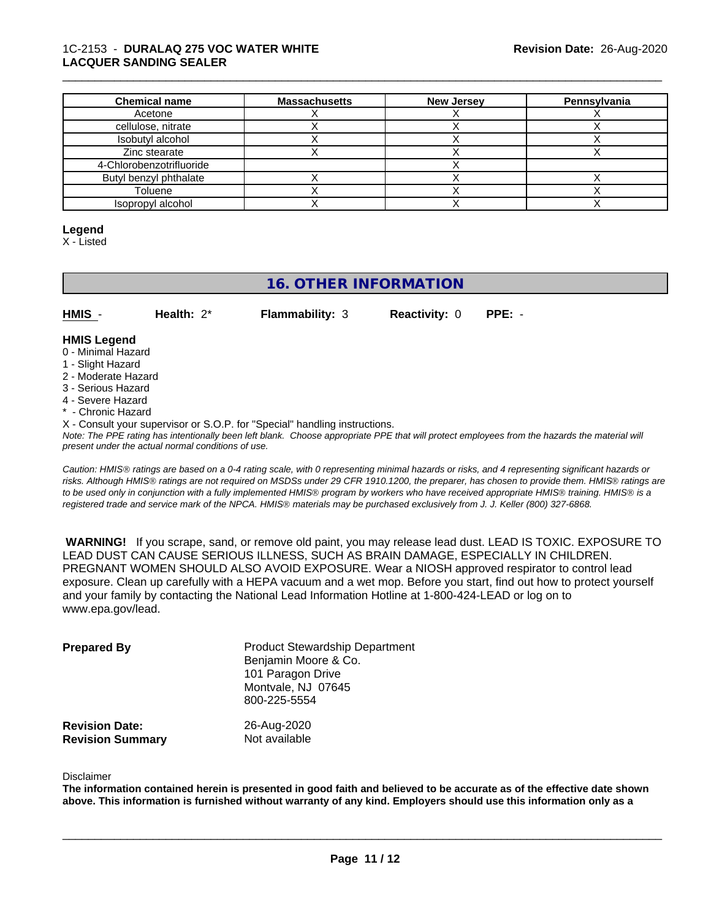#### 1C-2153 - **DURALAQ 275 VOC WATER WHITE LACQUER SANDING SEALER**

| <b>Chemical name</b>     | <b>Massachusetts</b> | <b>New Jersey</b> | Pennsylvania |
|--------------------------|----------------------|-------------------|--------------|
| Acetone                  |                      |                   |              |
| cellulose, nitrate       |                      |                   |              |
| Isobutyl alcohol         |                      |                   |              |
| Zinc stearate            |                      |                   |              |
| 4-Chlorobenzotrifluoride |                      |                   |              |
| Butyl benzyl phthalate   |                      |                   |              |
| Toluene                  |                      |                   |              |
| Isopropyl alcohol        |                      |                   |              |

\_\_\_\_\_\_\_\_\_\_\_\_\_\_\_\_\_\_\_\_\_\_\_\_\_\_\_\_\_\_\_\_\_\_\_\_\_\_\_\_\_\_\_\_\_\_\_\_\_\_\_\_\_\_\_\_\_\_\_\_\_\_\_\_\_\_\_\_\_\_\_\_\_\_\_\_\_\_\_\_\_\_\_\_\_\_\_\_\_\_\_\_\_

#### **Legend**

X - Listed

# **16. OTHER INFORMATION**

| HMIS | Health: $2^*$ | <b>Flammability: 3</b> | <b>Reactivity: 0 PPE: -</b> |  |
|------|---------------|------------------------|-----------------------------|--|
|      |               |                        |                             |  |

#### **HMIS Legend**

- 0 Minimal Hazard
- 1 Slight Hazard
- 2 Moderate Hazard
- 3 Serious Hazard
- 4 Severe Hazard
- \* Chronic Hazard
- X Consult your supervisor or S.O.P. for "Special" handling instructions.

*Note: The PPE rating has intentionally been left blank. Choose appropriate PPE that will protect employees from the hazards the material will present under the actual normal conditions of use.*

*Caution: HMISÒ ratings are based on a 0-4 rating scale, with 0 representing minimal hazards or risks, and 4 representing significant hazards or risks. Although HMISÒ ratings are not required on MSDSs under 29 CFR 1910.1200, the preparer, has chosen to provide them. HMISÒ ratings are to be used only in conjunction with a fully implemented HMISÒ program by workers who have received appropriate HMISÒ training. HMISÒ is a registered trade and service mark of the NPCA. HMISÒ materials may be purchased exclusively from J. J. Keller (800) 327-6868.*

 **WARNING!** If you scrape, sand, or remove old paint, you may release lead dust. LEAD IS TOXIC. EXPOSURE TO LEAD DUST CAN CAUSE SERIOUS ILLNESS, SUCH AS BRAIN DAMAGE, ESPECIALLY IN CHILDREN. PREGNANT WOMEN SHOULD ALSO AVOID EXPOSURE.Wear a NIOSH approved respirator to control lead exposure. Clean up carefully with a HEPA vacuum and a wet mop. Before you start, find out how to protect yourself and your family by contacting the National Lead Information Hotline at 1-800-424-LEAD or log on to www.epa.gov/lead.

| <b>Prepared By</b>                               | <b>Product Stewardship Department</b><br>Benjamin Moore & Co.<br>101 Paragon Drive<br>Montvale, NJ 07645<br>800-225-5554 |  |
|--------------------------------------------------|--------------------------------------------------------------------------------------------------------------------------|--|
| <b>Revision Date:</b><br><b>Revision Summary</b> | 26-Aug-2020<br>Not available                                                                                             |  |

#### Disclaimer

The information contained herein is presented in good faith and believed to be accurate as of the effective date shown above. This information is furnished without warranty of any kind. Employers should use this information only as a